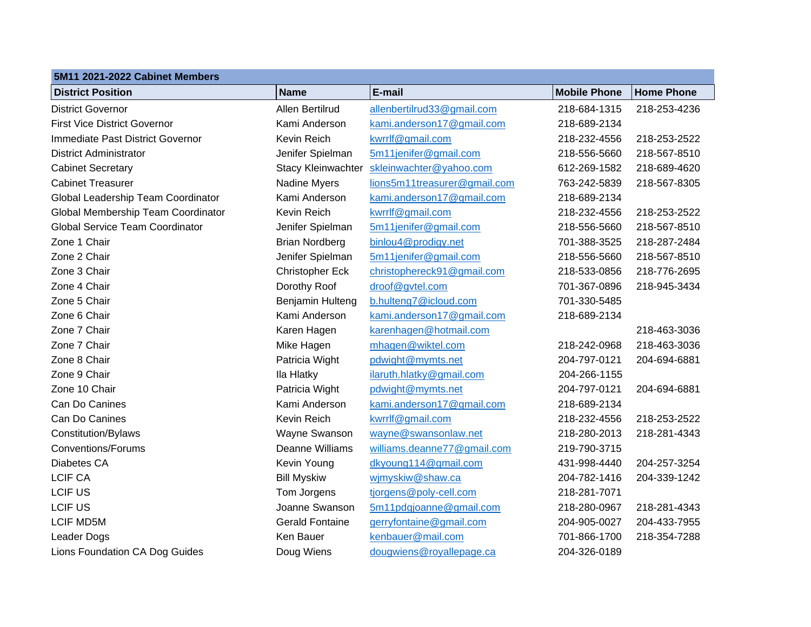## **5M11 2021-2022 Cabinet Members**

| JINI I ZUZT-ZUZZ GADINGLINGINGIS       |                           |                              |                     |                   |
|----------------------------------------|---------------------------|------------------------------|---------------------|-------------------|
| <b>District Position</b>               | <b>Name</b>               | E-mail                       | <b>Mobile Phone</b> | <b>Home Phone</b> |
| <b>District Governor</b>               | Allen Bertilrud           | allenbertilrud33@gmail.com   | 218-684-1315        | 218-253-4236      |
| <b>First Vice District Governor</b>    | Kami Anderson             | kami.anderson17@gmail.com    | 218-689-2134        |                   |
| Immediate Past District Governor       | Kevin Reich               | kwrrlf@gmail.com             | 218-232-4556        | 218-253-2522      |
| <b>District Administrator</b>          | Jenifer Spielman          | 5m11jenifer@gmail.com        | 218-556-5660        | 218-567-8510      |
| <b>Cabinet Secretary</b>               | <b>Stacy Kleinwachter</b> | skleinwachter@yahoo.com      | 612-269-1582        | 218-689-4620      |
| <b>Cabinet Treasurer</b>               | Nadine Myers              | lions5m11treasurer@gmail.com | 763-242-5839        | 218-567-8305      |
| Global Leadership Team Coordinator     | Kami Anderson             | kami.anderson17@gmail.com    | 218-689-2134        |                   |
| Global Membership Team Coordinator     | Kevin Reich               | kwrrlf@gmail.com             | 218-232-4556        | 218-253-2522      |
| <b>Global Service Team Coordinator</b> | Jenifer Spielman          | 5m11jenifer@gmail.com        | 218-556-5660        | 218-567-8510      |
| Zone 1 Chair                           | <b>Brian Nordberg</b>     | binlou4@prodigy.net          | 701-388-3525        | 218-287-2484      |
| Zone 2 Chair                           | Jenifer Spielman          | 5m11jenifer@gmail.com        | 218-556-5660        | 218-567-8510      |
| Zone 3 Chair                           | Christopher Eck           | christophereck91@gmail.com   | 218-533-0856        | 218-776-2695      |
| Zone 4 Chair                           | Dorothy Roof              | droof@gvtel.com              | 701-367-0896        | 218-945-3434      |
| Zone 5 Chair                           | Benjamin Hulteng          | b.hulteng7@icloud.com        | 701-330-5485        |                   |
| Zone 6 Chair                           | Kami Anderson             | kami.anderson17@gmail.com    | 218-689-2134        |                   |
| Zone 7 Chair                           | Karen Hagen               | karenhagen@hotmail.com       |                     | 218-463-3036      |
| Zone 7 Chair                           | Mike Hagen                | mhagen@wiktel.com            | 218-242-0968        | 218-463-3036      |
| Zone 8 Chair                           | Patricia Wight            | pdwight@mymts.net            | 204-797-0121        | 204-694-6881      |
| Zone 9 Chair                           | Ila Hlatky                | ilaruth.hlatky@gmail.com     | 204-266-1155        |                   |
| Zone 10 Chair                          | Patricia Wight            | pdwight@mymts.net            | 204-797-0121        | 204-694-6881      |
| Can Do Canines                         | Kami Anderson             | kami.anderson17@gmail.com    | 218-689-2134        |                   |
| Can Do Canines                         | Kevin Reich               | kwrrlf@gmail.com             | 218-232-4556        | 218-253-2522      |
| Constitution/Bylaws                    | Wayne Swanson             | wayne@swansonlaw.net         | 218-280-2013        | 218-281-4343      |
| <b>Conventions/Forums</b>              | <b>Deanne Williams</b>    | williams.deanne77@gmail.com  | 219-790-3715        |                   |
| Diabetes CA                            | Kevin Young               | dkyoung114@gmail.com         | 431-998-4440        | 204-257-3254      |
| <b>LCIF CA</b>                         | <b>Bill Myskiw</b>        | wjmyskiw@shaw.ca             | 204-782-1416        | 204-339-1242      |
| <b>LCIF US</b>                         | Tom Jorgens               | tjorgens@poly-cell.com       | 218-281-7071        |                   |
| <b>LCIF US</b>                         | Joanne Swanson            | 5m11pdgjoanne@gmail.com      | 218-280-0967        | 218-281-4343      |
| <b>LCIF MD5M</b>                       | <b>Gerald Fontaine</b>    | gerryfontaine@gmail.com      | 204-905-0027        | 204-433-7955      |
| Leader Dogs                            | <b>Ken Bauer</b>          | kenbauer@mail.com            | 701-866-1700        | 218-354-7288      |
| Lions Foundation CA Dog Guides         | Doug Wiens                | dougwiens@royallepage.ca     | 204-326-0189        |                   |